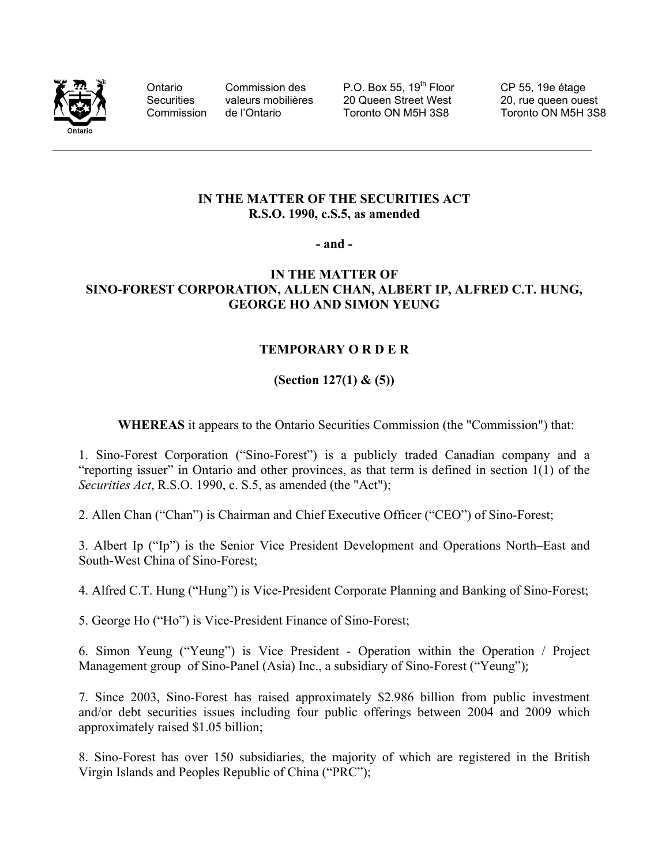

Ontario Commission des P.O. Box 55, 19<sup>th</sup> Floor CP 55, 19e étage Securities valeurs mobilières 20 Queen Street West 20, rue queen ouest Commission de l'Ontario Toronto ON M5H 3S8 Toronto ON M5H 3S8

## **IN THE MATTER OF THE SECURITIES ACT R.S.O. 1990, c.S.5, as amended**

**- and -** 

## **IN THE MATTER OF SINO-FOREST CORPORATION, ALLEN CHAN, ALBERT IP, ALFRED C.T. HUNG, GEORGE HO AND SIMON YEUNG**

## **TEMPORARY O R D E R**

## **(Section 127(1) & (5))**

**WHEREAS** it appears to the Ontario Securities Commission (the "Commission") that:

1. Sino-Forest Corporation ("Sino-Forest") is a publicly traded Canadian company and a "reporting issuer" in Ontario and other provinces, as that term is defined in section 1(1) of the *Securities Act*, R.S.O. 1990, c. S.5, as amended (the "Act");

2. Allen Chan ("Chan") is Chairman and Chief Executive Officer ("CEO") of Sino-Forest;

3. Albert Ip ("Ip") is the Senior Vice President Development and Operations North–East and South-West China of Sino-Forest;

4. Alfred C.T. Hung ("Hung") is Vice-President Corporate Planning and Banking of Sino-Forest;

5. George Ho ("Ho") is Vice-President Finance of Sino-Forest;

6. Simon Yeung ("Yeung") is Vice President - Operation within the Operation / Project Management group of Sino-Panel (Asia) Inc., a subsidiary of Sino-Forest ("Yeung");

7. Since 2003, Sino-Forest has raised approximately \$2.986 billion from public investment and/or debt securities issues including four public offerings between 2004 and 2009 which approximately raised \$1.05 billion;

8. Sino-Forest has over 150 subsidiaries, the majority of which are registered in the British Virgin Islands and Peoples Republic of China ("PRC");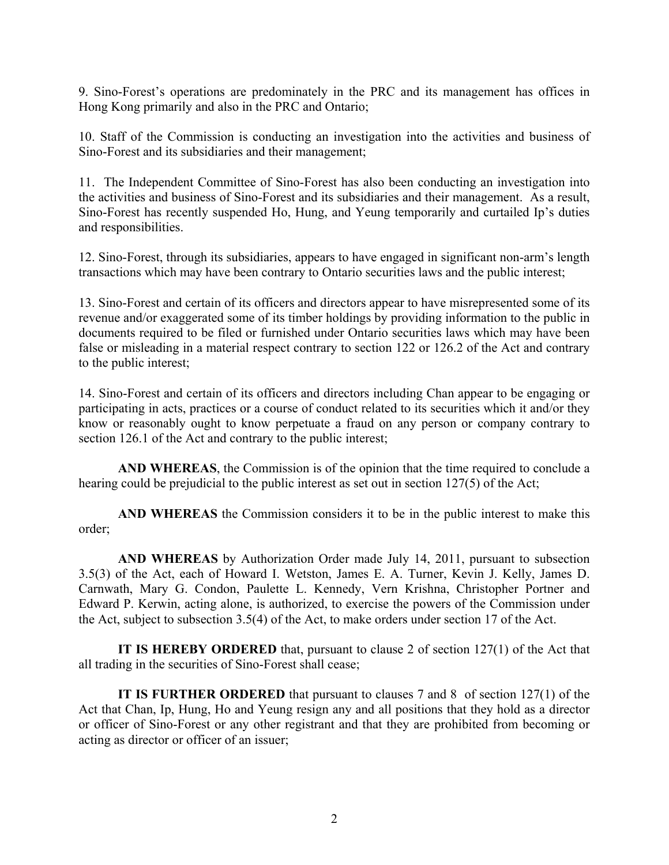9. Sino-Forest's operations are predominately in the PRC and its management has offices in Hong Kong primarily and also in the PRC and Ontario;

10. Staff of the Commission is conducting an investigation into the activities and business of Sino-Forest and its subsidiaries and their management;

11. The Independent Committee of Sino-Forest has also been conducting an investigation into the activities and business of Sino-Forest and its subsidiaries and their management. As a result, Sino-Forest has recently suspended Ho, Hung, and Yeung temporarily and curtailed Ip's duties and responsibilities.

12. Sino-Forest, through its subsidiaries, appears to have engaged in significant non-arm's length transactions which may have been contrary to Ontario securities laws and the public interest;

13. Sino-Forest and certain of its officers and directors appear to have misrepresented some of its revenue and/or exaggerated some of its timber holdings by providing information to the public in documents required to be filed or furnished under Ontario securities laws which may have been false or misleading in a material respect contrary to section 122 or 126.2 of the Act and contrary to the public interest;

14. Sino-Forest and certain of its officers and directors including Chan appear to be engaging or participating in acts, practices or a course of conduct related to its securities which it and/or they know or reasonably ought to know perpetuate a fraud on any person or company contrary to section 126.1 of the Act and contrary to the public interest;

**AND WHEREAS**, the Commission is of the opinion that the time required to conclude a hearing could be prejudicial to the public interest as set out in section 127(5) of the Act;

 **AND WHEREAS** the Commission considers it to be in the public interest to make this order;

 **AND WHEREAS** by Authorization Order made July 14, 2011, pursuant to subsection 3.5(3) of the Act, each of Howard I. Wetston, James E. A. Turner, Kevin J. Kelly, James D. Carnwath, Mary G. Condon, Paulette L. Kennedy, Vern Krishna, Christopher Portner and Edward P. Kerwin, acting alone, is authorized, to exercise the powers of the Commission under the Act, subject to subsection 3.5(4) of the Act, to make orders under section 17 of the Act.

**IT IS HEREBY ORDERED** that, pursuant to clause 2 of section 127(1) of the Act that all trading in the securities of Sino-Forest shall cease;

**IT IS FURTHER ORDERED** that pursuant to clauses 7 and 8 of section 127(1) of the Act that Chan, Ip, Hung, Ho and Yeung resign any and all positions that they hold as a director or officer of Sino-Forest or any other registrant and that they are prohibited from becoming or acting as director or officer of an issuer;